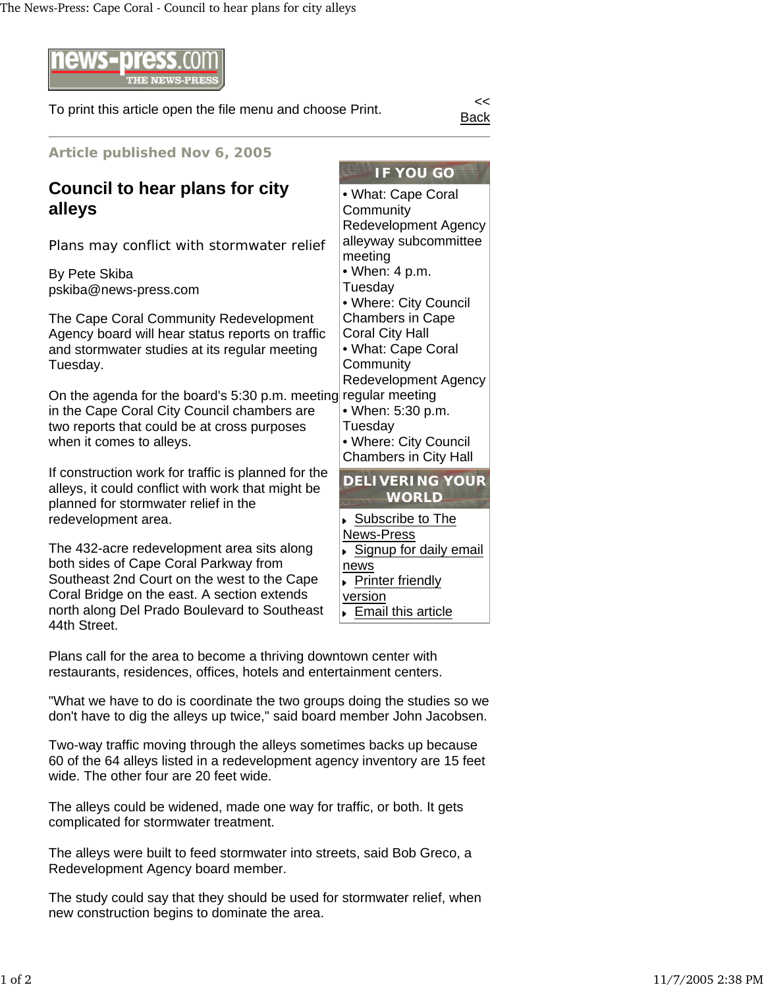

To print this article open the file menu and choose Print.

Back

**IF YOU GO**

Redevelopment Agency alleyway subcommittee

• Where: City Council Chambers in Cape Coral City Hall • What: Cape Coral

Redevelopment Agency

• Where: City Council Chambers in City Hall

Subscribe to The

**Printer friendly** 

**Email this article** 

News-Press

news

**version** 

**DELIVERING YOUR WORLD**

Signup for daily email

• What: Cape Coral

**Community** 

• When: 4 p.m. **Tuesday** 

**Community** 

Tuesday

regular meeting • When: 5:30 p.m.

meeting

**Article published Nov 6, 2005**

## **Council to hear plans for city alleys**

Plans may conflict with stormwater relief

By Pete Skiba pskiba@news-press.com

The Cape Coral Community Redevelopment Agency board will hear status reports on traffic and stormwater studies at its regular meeting Tuesday.

On the agenda for the board's 5:30 p.m. meeting in the Cape Coral City Council chambers are two reports that could be at cross purposes when it comes to alleys.

If construction work for traffic is planned for the alleys, it could conflict with work that might be planned for stormwater relief in the redevelopment area.

The 432-acre redevelopment area sits along both sides of Cape Coral Parkway from Southeast 2nd Court on the west to the Cape Coral Bridge on the east. A section extends north along Del Prado Boulevard to Southeast 44th Street.

Plans call for the area to become a thriving downtown center with restaurants, residences, offices, hotels and entertainment centers.

"What we have to do is coordinate the two groups doing the studies so we don't have to dig the alleys up twice," said board member John Jacobsen.

Two-way traffic moving through the alleys sometimes backs up because 60 of the 64 alleys listed in a redevelopment agency inventory are 15 feet wide. The other four are 20 feet wide.

The alleys could be widened, made one way for traffic, or both. It gets complicated for stormwater treatment.

The alleys were built to feed stormwater into streets, said Bob Greco, a Redevelopment Agency board member.

The study could say that they should be used for stormwater relief, when new construction begins to dominate the area.